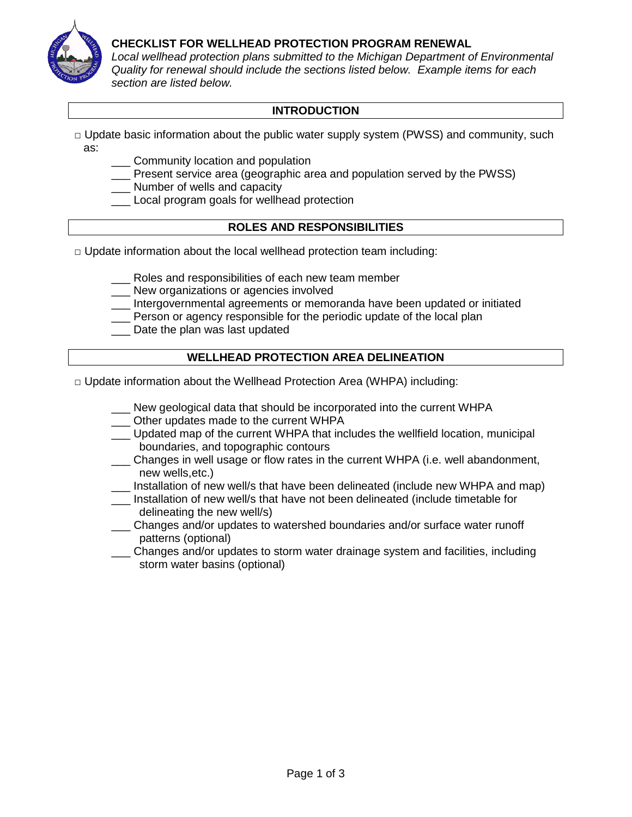

## **CHECKLIST FOR WELLHEAD PROTECTION PROGRAM RENEWAL**

*Local wellhead protection plans submitted to the Michigan Department of Environmental Quality for renewal should include the sections listed below. Example items for each section are listed below.*

# **INTRODUCTION**

- **□** Update basic information about the public water supply system (PWSS) and community, such as:
	- \_\_\_ Community location and population
	- \_\_\_ Present service area (geographic area and population served by the PWSS)
	- \_\_\_ Number of wells and capacity
	- \_\_\_ Local program goals for wellhead protection

## **ROLES AND RESPONSIBILITIES**

- **□** Update information about the local wellhead protection team including:
	- Roles and responsibilities of each new team member
	- New organizations or agencies involved
	- \_\_\_ Intergovernmental agreements or memoranda have been updated or initiated
	- \_\_\_ Person or agency responsible for the periodic update of the local plan
	- Date the plan was last updated

## **WELLHEAD PROTECTION AREA DELINEATION**

- **□** Update information about the Wellhead Protection Area (WHPA) including:
	- New geological data that should be incorporated into the current WHPA
	- Other updates made to the current WHPA
	- \_\_\_ Updated map of the current WHPA that includes the wellfield location, municipal boundaries, and topographic contours
	- \_\_\_ Changes in well usage or flow rates in the current WHPA (i.e. well abandonment, new wells,etc.)
	- Installation of new well/s that have been delineated (include new WHPA and map)
	- \_\_\_ Installation of new well/s that have not been delineated (include timetable for delineating the new well/s)
	- \_\_\_ Changes and/or updates to watershed boundaries and/or surface water runoff patterns (optional)
	- \_\_\_ Changes and/or updates to storm water drainage system and facilities, including storm water basins (optional)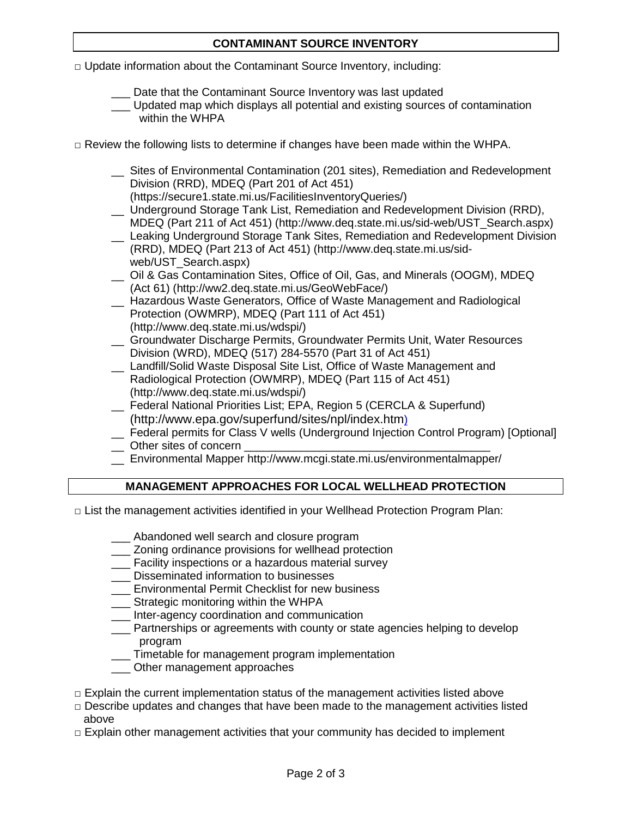# **CONTAMINANT SOURCE INVENTORY**

**□** Update information about the Contaminant Source Inventory, including:

- Date that the Contaminant Source Inventory was last updated
- \_\_\_ Updated map which displays all potential and existing sources of contamination within the WHPA
- **□** Review the following lists to determine if changes have been made within the WHPA.
	- \_\_ Sites of Environmental Contamination (201 sites), Remediation and Redevelopment Division (RRD), MDEQ (Part 201 of Act 451)
		- [\(https://secure1.state.mi.us/FacilitiesInventoryQueries/\)](https://secure1.state.mi.us/FacilitiesInventoryQueries/)
	- \_\_ Underground Storage Tank List, Remediation and Redevelopment Division (RRD), MDEQ (Part 211 of Act 451) [\(http://www.deq.state.mi.us/sid-web/UST\\_Search.aspx\)](http://www.deq.state.mi.us/sid-web/UST_Search.aspx)
	- \_\_ Leaking Underground Storage Tank Sites, Remediation and Redevelopment Division (RRD), MDEQ (Part 213 of Act 451) [\(http://www.deq.state.mi.us/sid](http://www.deq.state.mi.us/sid-web/UST_Search.aspx)[web/UST\\_Search.aspx\)](http://www.deq.state.mi.us/sid-web/UST_Search.aspx)
	- \_\_ Oil & Gas Contamination Sites, Office of Oil, Gas, and Minerals (OOGM), MDEQ (Act 61) [\(http://ww2.deq.state.mi.us/GeoWebFace/\)](http://ww2.deq.state.mi.us/GeoWebFace/)
	- \_\_ Hazardous Waste Generators, Office of Waste Management and Radiological Protection (OWMRP), MDEQ (Part 111 of Act 451) [\(http://www.deq.state.mi.us/wdspi/\)](http://www.deq.state.mi.us/wdspi/)
	- \_\_ Groundwater Discharge Permits, Groundwater Permits Unit, Water Resources Division (WRD), MDEQ (517) 284-5570 (Part 31 of Act 451)
	- \_\_ Landfill/Solid Waste Disposal Site List, Office of Waste Management and Radiological Protection (OWMRP), MDEQ (Part 115 of Act 451) [\(http://www.deq.state.mi.us/wdspi/\)](http://www.deq.state.mi.us/wdspi/)
	- \_\_ Federal National Priorities List; EPA, Region 5 (CERCLA & Superfund) [\(http://www.epa.gov/superfund/sites/npl/index.htm\)](http://www.epa.gov/superfund/sites/npl/index.htm)
	- Federal permits for Class V wells (Underground Injection Control Program) [Optional]
	- $\Box$  Other sites of concern
	- \_\_ Environmental Mapper<http://www.mcgi.state.mi.us/environmentalmapper/>

## **MANAGEMENT APPROACHES FOR LOCAL WELLHEAD PROTECTION**

- **□** List the management activities identified in your Wellhead Protection Program Plan:
	- \_\_\_ Abandoned well search and closure program
	- **\_\_\_ Zoning ordinance provisions for wellhead protection**
	- Facility inspections or a hazardous material survey
	- \_\_\_ Disseminated information to businesses
	- **\_\_\_** Environmental Permit Checklist for new business
	- Strategic monitoring within the WHPA
	- \_\_\_ Inter-agency coordination and communication
	- Partnerships or agreements with county or state agencies helping to develop program
	- \_\_\_ Timetable for management program implementation
	- \_\_\_ Other management approaches
- **□** Explain the current implementation status of the management activities listed above
- **□** Describe updates and changes that have been made to the management activities listed above
- **□** Explain other management activities that your community has decided to implement